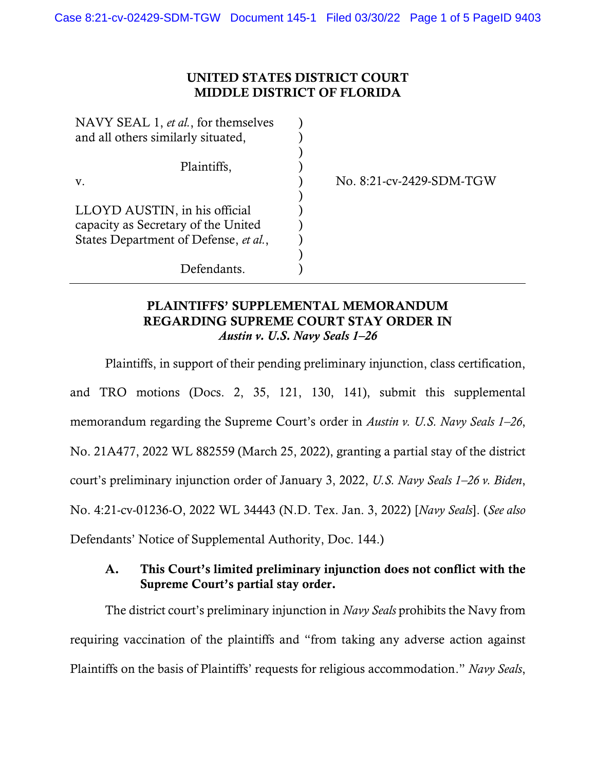## UNITED STATES DISTRICT COURT MIDDLE DISTRICT OF FLORIDA

| NAVY SEAL 1, et al., for themselves   |                          |
|---------------------------------------|--------------------------|
| and all others similarly situated,    |                          |
|                                       |                          |
| Plaintiffs,                           |                          |
| V.                                    | No. 8:21-cv-2429-SDM-TGW |
|                                       |                          |
| LLOYD AUSTIN, in his official         |                          |
| capacity as Secretary of the United   |                          |
| States Department of Defense, et al., |                          |
|                                       |                          |
| Defendants                            |                          |

## PLAINTIFFS' SUPPLEMENTAL MEMORANDUM REGARDING SUPREME COURT STAY ORDER IN *Austin v. U.S. Navy Seals 1–26*

Plaintiffs, in support of their pending preliminary injunction, class certification, and TRO motions (Docs. 2, 35, 121, 130, 141), submit this supplemental memorandum regarding the Supreme Court's order in *Austin v. U.S. Navy Seals 1–26*, No. 21A477, 2022 WL 882559 (March 25, 2022), granting a partial stay of the district court's preliminary injunction order of January 3, 2022, *U.S. Navy Seals 1–26 v. Biden*, No. 4:21-cv-01236-O, 2022 WL 34443 (N.D. Tex. Jan. 3, 2022) [*Navy Seals*]. (*See also*  Defendants' Notice of Supplemental Authority, Doc. 144.)

## A. This Court's limited preliminary injunction does not conflict with the Supreme Court's partial stay order.

The district court's preliminary injunction in *Navy Seals* prohibits the Navy from requiring vaccination of the plaintiffs and "from taking any adverse action against Plaintiffs on the basis of Plaintiffs' requests for religious accommodation." *Navy Seals*,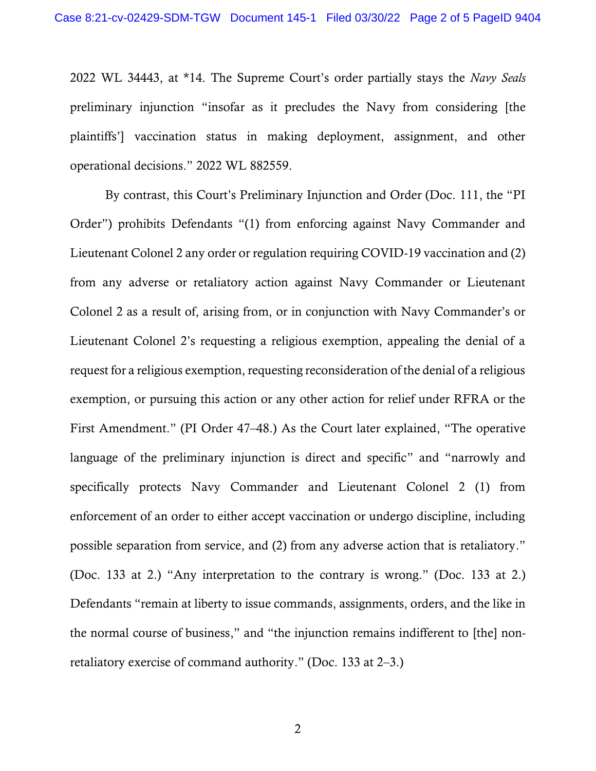2022 WL 34443, at \*14. The Supreme Court's order partially stays the *Navy Seals*  preliminary injunction "insofar as it precludes the Navy from considering [the plaintiffs'] vaccination status in making deployment, assignment, and other operational decisions." 2022 WL 882559.

By contrast, this Court's Preliminary Injunction and Order (Doc. 111, the "PI Order") prohibits Defendants "(1) from enforcing against Navy Commander and Lieutenant Colonel 2 any order or regulation requiring COVID-19 vaccination and (2) from any adverse or retaliatory action against Navy Commander or Lieutenant Colonel 2 as a result of, arising from, or in conjunction with Navy Commander's or Lieutenant Colonel 2's requesting a religious exemption, appealing the denial of a request for a religious exemption, requesting reconsideration of the denial of a religious exemption, or pursuing this action or any other action for relief under RFRA or the First Amendment." (PI Order 47–48.) As the Court later explained, "The operative language of the preliminary injunction is direct and specific" and "narrowly and specifically protects Navy Commander and Lieutenant Colonel 2 (1) from enforcement of an order to either accept vaccination or undergo discipline, including possible separation from service, and (2) from any adverse action that is retaliatory." (Doc. 133 at 2.) "Any interpretation to the contrary is wrong." (Doc. 133 at 2.) Defendants "remain at liberty to issue commands, assignments, orders, and the like in the normal course of business," and "the injunction remains indifferent to [the] nonretaliatory exercise of command authority." (Doc. 133 at 2–3.)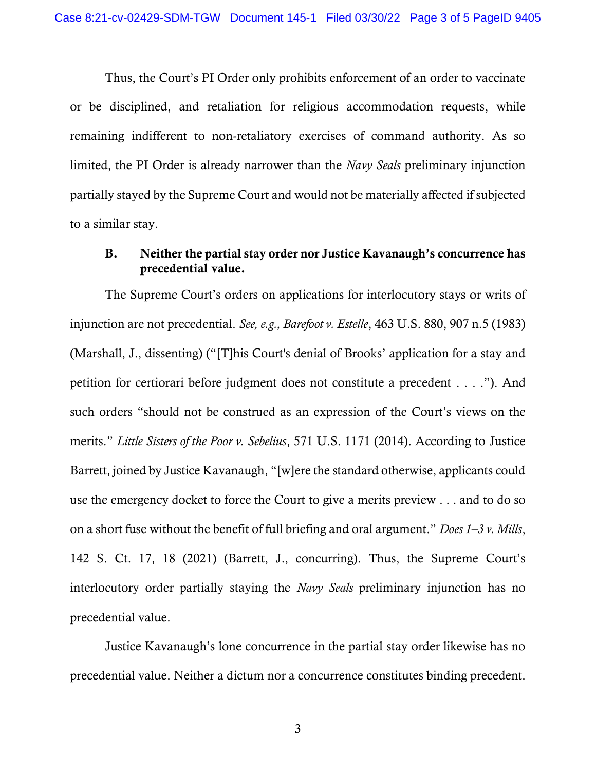Thus, the Court's PI Order only prohibits enforcement of an order to vaccinate or be disciplined, and retaliation for religious accommodation requests, while remaining indifferent to non-retaliatory exercises of command authority. As so limited, the PI Order is already narrower than the *Navy Seals* preliminary injunction partially stayed by the Supreme Court and would not be materially affected if subjected to a similar stay.

## B. Neither the partial stay order nor Justice Kavanaugh's concurrence has precedential value.

The Supreme Court's orders on applications for interlocutory stays or writs of injunction are not precedential. *See, e.g., Barefoot v. Estelle*, 463 U.S. 880, 907 n.5 (1983) (Marshall, J., dissenting) ("[T]his Court's denial of Brooks' application for a stay and petition for certiorari before judgment does not constitute a precedent . . . ."). And such orders "should not be construed as an expression of the Court's views on the merits." *Little Sisters of the Poor v. Sebelius*, 571 U.S. 1171 (2014). According to Justice Barrett, joined by Justice Kavanaugh, "[w]ere the standard otherwise, applicants could use the emergency docket to force the Court to give a merits preview . . . and to do so on a short fuse without the benefit of full briefing and oral argument." *Does 1–3 v. Mills*, 142 S. Ct. 17, 18 (2021) (Barrett, J., concurring). Thus, the Supreme Court's interlocutory order partially staying the *Navy Seals* preliminary injunction has no precedential value.

Justice Kavanaugh's lone concurrence in the partial stay order likewise has no precedential value. Neither a dictum nor a concurrence constitutes binding precedent.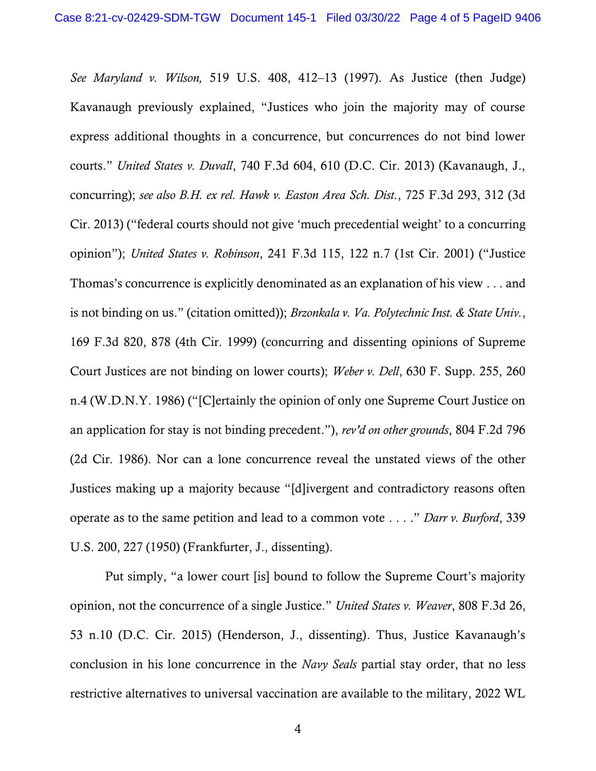*See Maryland v. Wilson,* 519 U.S. 408, 412–13 (1997). As Justice (then Judge) Kavanaugh previously explained, "Justices who join the majority may of course express additional thoughts in a concurrence, but concurrences do not bind lower courts." *United States v. Duvall*, 740 F.3d 604, 610 (D.C. Cir. 2013) (Kavanaugh, J., concurring); *see also B.H. ex rel. Hawk v. Easton Area Sch. Dist.*, 725 F.3d 293, 312 (3d Cir. 2013) ("federal courts should not give 'much precedential weight' to a concurring opinion"); *United States v. Robinson*, 241 F.3d 115, 122 n.7 (1st Cir. 2001) ("Justice Thomas's concurrence is explicitly denominated as an explanation of his view . . . and is not binding on us." (citation omitted)); *Brzonkala v. Va. Polytechnic Inst. & State Univ.*, 169 F.3d 820, 878 (4th Cir. 1999) (concurring and dissenting opinions of Supreme Court Justices are not binding on lower courts); *Weber v. Dell*, 630 F. Supp. 255, 260 n.4 (W.D.N.Y. 1986) ("[C]ertainly the opinion of only one Supreme Court Justice on an application for stay is not binding precedent."), *rev'd on other grounds*, 804 F.2d 796 (2d Cir. 1986). Nor can a lone concurrence reveal the unstated views of the other Justices making up a majority because "[d]ivergent and contradictory reasons often operate as to the same petition and lead to a common vote . . . ." *Darr v. Burford*, 339 U.S. 200, 227 (1950) (Frankfurter, J., dissenting).

Put simply, "a lower court [is] bound to follow the Supreme Court's majority opinion, not the concurrence of a single Justice." *United States v. Weaver*, 808 F.3d 26, 53 n.10 (D.C. Cir. 2015) (Henderson, J., dissenting). Thus, Justice Kavanaugh's conclusion in his lone concurrence in the *Navy Seals* partial stay order, that no less restrictive alternatives to universal vaccination are available to the military, 2022 WL